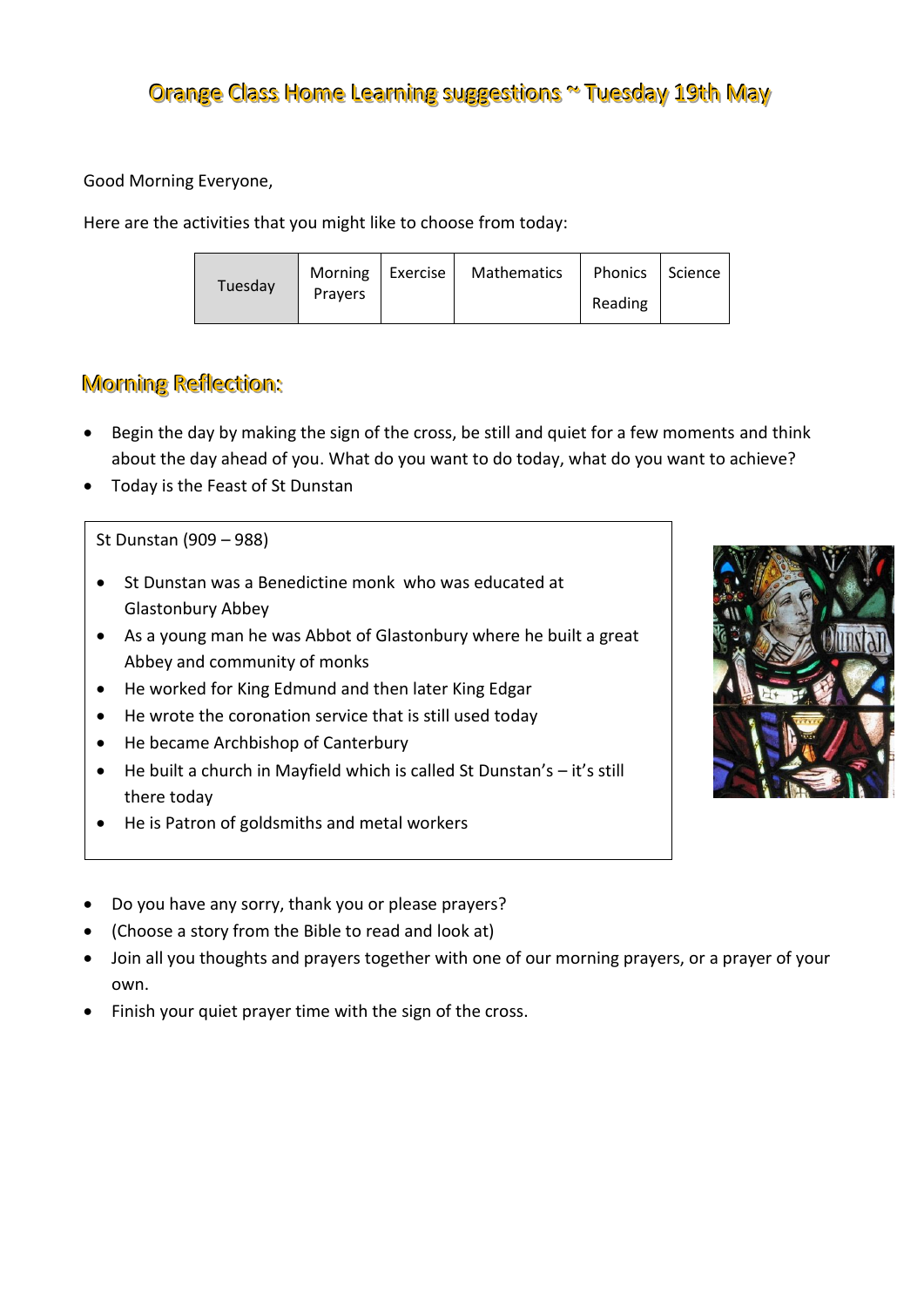Good Morning Everyone,

Here are the activities that you might like to choose from today:

| Tuesday | Morning   Exercise | Mathematics | Phonics   Science |  |
|---------|--------------------|-------------|-------------------|--|
|         | <b>Pravers</b>     |             | Reading           |  |

# Morning Reflection:

- Begin the day by making the sign of the cross, be still and quiet for a few moments and think about the day ahead of you. What do you want to do today, what do you want to achieve?
- Today is the Feast of St Dunstan

### St Dunstan (909 – 988)

- St Dunstan was a Benedictine monk who was educated at Glastonbury Abbey
- As a young man he was Abbot of Glastonbury where he built a great Abbey and community of monks
- He worked for King Edmund and then later King Edgar
- He wrote the coronation service that is still used today
- He became Archbishop of Canterbury
- He built a church in Mayfield which is called St Dunstan's it's still there today
- He is Patron of goldsmiths and metal workers



- (Choose a story from the Bible to read and look at)
- Join all you thoughts and prayers together with one of our morning prayers, or a prayer of your own.
- Finish your quiet prayer time with the sign of the cross.

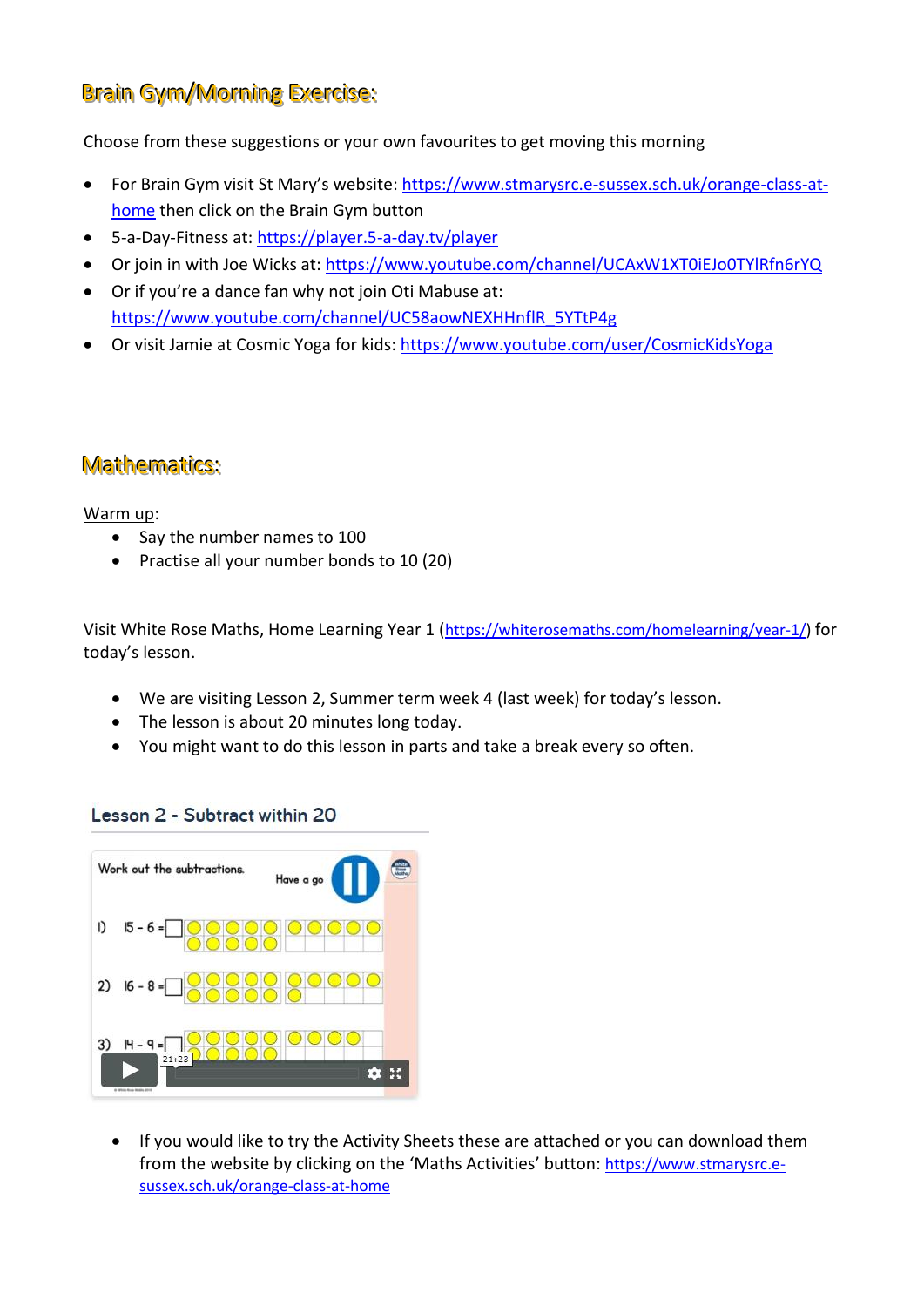# Brain Gym/Morning Exercise:

Choose from these suggestions or your own favourites to get moving this morning

- For Brain Gym visit St Mary's website: [https://www.stmarysrc.e-sussex.sch.uk/orange-class-at](https://www.stmarysrc.e-sussex.sch.uk/orange-class-at-home)[home](https://www.stmarysrc.e-sussex.sch.uk/orange-class-at-home) then click on the Brain Gym button
- 5-a-Day-Fitness at[: https://player.5-a-day.tv/player](https://player.5-a-day.tv/player)
- Or join in with Joe Wicks at:<https://www.youtube.com/channel/UCAxW1XT0iEJo0TYlRfn6rYQ>
- Or if you're a dance fan why not join Oti Mabuse at: [https://www.youtube.com/channel/UC58aowNEXHHnflR\\_5YTtP4g](https://www.youtube.com/channel/UC58aowNEXHHnflR_5YTtP4g)
- Or visit Jamie at Cosmic Yoga for kids:<https://www.youtube.com/user/CosmicKidsYoga>

### Mathematics:

#### Warm up:

- Say the number names to 100
- Practise all your number bonds to 10 (20)

Visit White Rose Maths, Home Learning Year 1 ([https://whiterosemaths.com/homelearning/year-1/\)](https://whiterosemaths.com/homelearning/year-1/) for today's lesson.

- We are visiting Lesson 2, Summer term week 4 (last week) for today's lesson.
- The lesson is about 20 minutes long today.
- You might want to do this lesson in parts and take a break every so often.

#### Lesson 2 - Subtract within 20



 If you would like to try the Activity Sheets these are attached or you can download them from the website by clicking on the 'Maths Activities' button: [https://www.stmarysrc.e](https://www.stmarysrc.e-sussex.sch.uk/orange-class-at-home)[sussex.sch.uk/orange-class-at-home](https://www.stmarysrc.e-sussex.sch.uk/orange-class-at-home)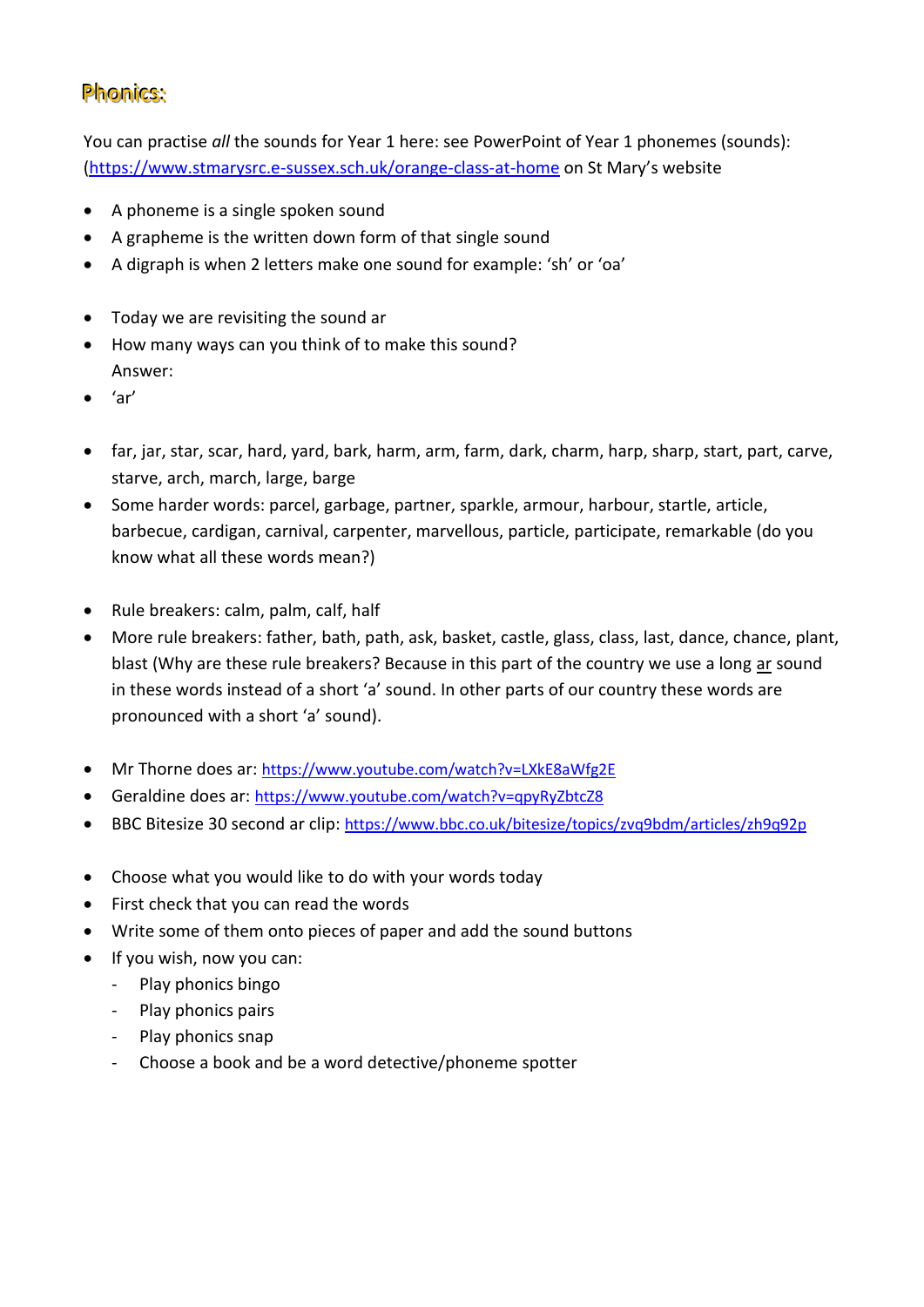## Phonics:

You can practise *all* the sounds for Year 1 here: see PowerPoint of Year 1 phonemes (sounds): [\(https://www.stmarysrc.e-sussex.sch.uk/orange-class-at-home](https://www.stmarysrc.e-sussex.sch.uk/orange-class-at-home) on St Mary's website

- A phoneme is a single spoken sound
- A grapheme is the written down form of that single sound
- A digraph is when 2 letters make one sound for example: 'sh' or 'oa'
- Today we are revisiting the sound ar
- How many ways can you think of to make this sound? Answer:
- 'ar'
- far, jar, star, scar, hard, yard, bark, harm, arm, farm, dark, charm, harp, sharp, start, part, carve, starve, arch, march, large, barge
- Some harder words: parcel, garbage, partner, sparkle, armour, harbour, startle, article, barbecue, cardigan, carnival, carpenter, marvellous, particle, participate, remarkable (do you know what all these words mean?)
- Rule breakers: calm, palm, calf, half
- More rule breakers: father, bath, path, ask, basket, castle, glass, class, last, dance, chance, plant, blast (Why are these rule breakers? Because in this part of the country we use a long ar sound in these words instead of a short 'a' sound. In other parts of our country these words are pronounced with a short 'a' sound).
- Mr Thorne does ar: <https://www.youtube.com/watch?v=LXkE8aWfg2E>
- Geraldine does ar: <https://www.youtube.com/watch?v=qpyRyZbtcZ8>
- BBC Bitesize 30 second ar clip: <https://www.bbc.co.uk/bitesize/topics/zvq9bdm/articles/zh9q92p>
- Choose what you would like to do with your words today
- First check that you can read the words
- Write some of them onto pieces of paper and add the sound buttons
- If you wish, now you can:
	- Play phonics bingo
	- Play phonics pairs
	- Play phonics snap
	- Choose a book and be a word detective/phoneme spotter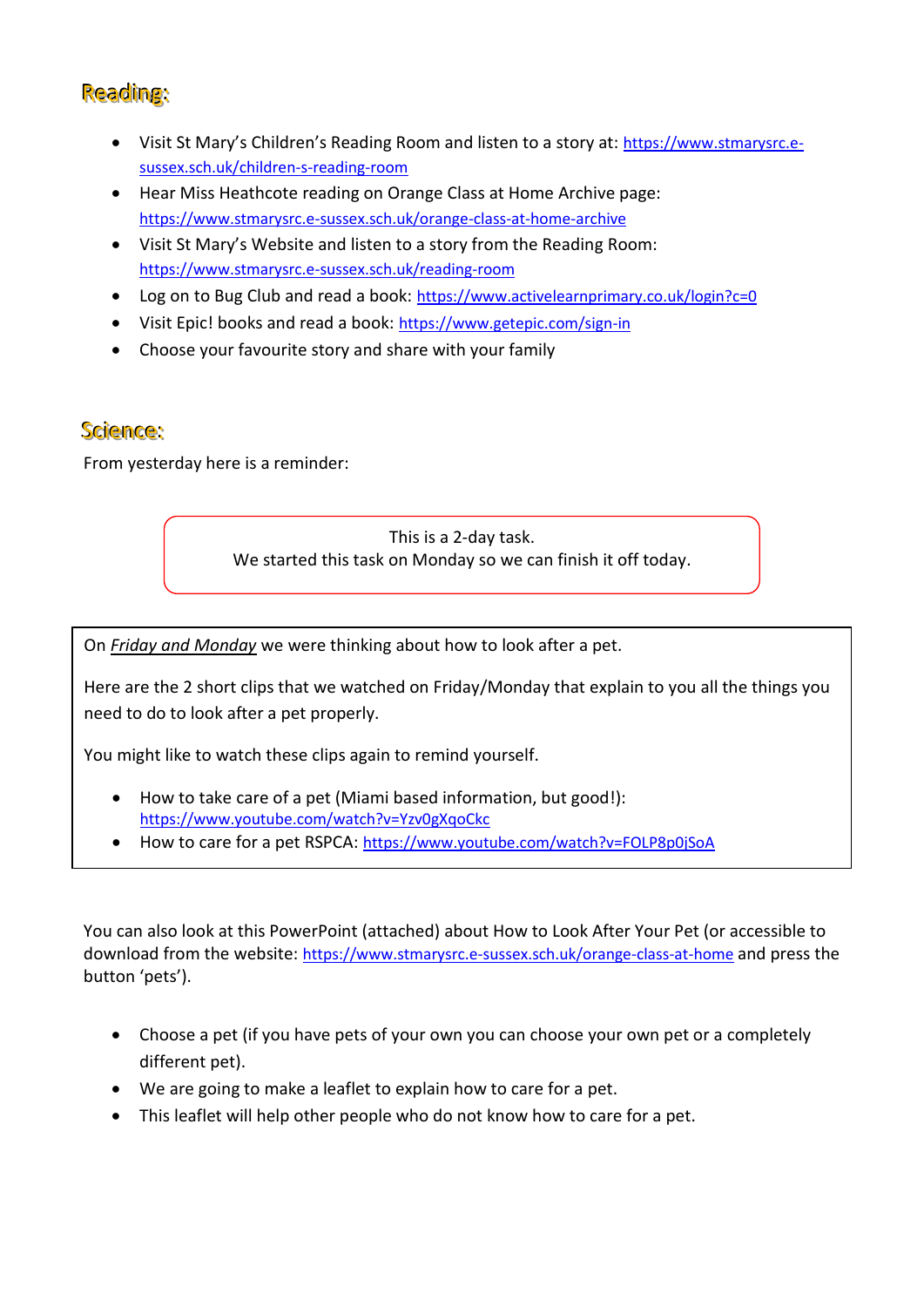# Reading:

- Visit St Mary's Children's Reading Room and listen to a story at: [https://www.stmarysrc.e](https://www.stmarysrc.e-sussex.sch.uk/children-s-reading-room)[sussex.sch.uk/children-s-reading-room](https://www.stmarysrc.e-sussex.sch.uk/children-s-reading-room)
- Hear Miss Heathcote reading on Orange Class at Home Archive page: <https://www.stmarysrc.e-sussex.sch.uk/orange-class-at-home-archive>
- Visit St Mary's Website and listen to a story from the Reading Room: <https://www.stmarysrc.e-sussex.sch.uk/reading-room>
- Log on to Bug Club and read a book: <https://www.activelearnprimary.co.uk/login?c=0>
- Visit Epic! books and read a book: <https://www.getepic.com/sign-in>
- Choose your favourite story and share with your family

### Science:

From yesterday here is a reminder:

This is a 2-day task. We started this task on Monday so we can finish it off today.

On *Friday and Monday* we were thinking about how to look after a pet.

Here are the 2 short clips that we watched on Friday/Monday that explain to you all the things you need to do to look after a pet properly.

You might like to watch these clips again to remind yourself.

- How to take care of a pet (Miami based information, but good!): <https://www.youtube.com/watch?v=Yzv0gXqoCkc>
- How to care for a pet RSPCA: <https://www.youtube.com/watch?v=FOLP8p0jSoA>

You can also look at this PowerPoint (attached) about How to Look After Your Pet (or accessible to download from the website: <https://www.stmarysrc.e-sussex.sch.uk/orange-class-at-home> and press the button 'pets').

- Choose a pet (if you have pets of your own you can choose your own pet or a completely different pet).
- We are going to make a leaflet to explain how to care for a pet.
- This leaflet will help other people who do not know how to care for a pet.